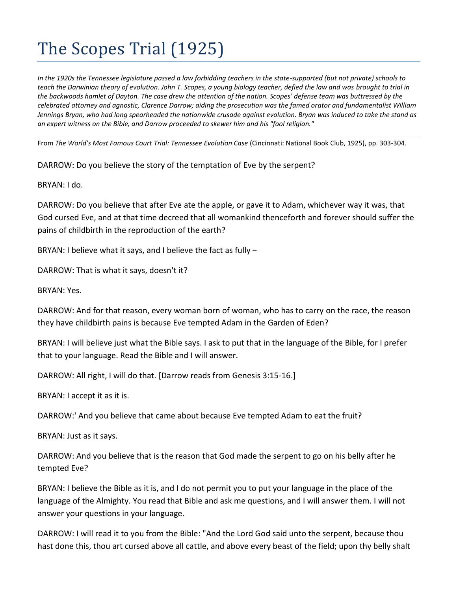## The Scopes Trial (1925)

*In the 1920s the Tennessee legislature passed a law forbidding teachers in the state-supported (but not private) schools to teach the Darwinian theory of evolution. John T. Scopes, a young biology teacher, defied the law and was brought to trial in the backwoods hamlet of Dayton. The case drew the attention of the nation. Scopes' defense team was buttressed by the celebrated attorney and agnostic, Clarence Darrow; aiding the prosecution was the famed orator and fundamentalist William Jennings Bryan, who had long spearheaded the nationwide crusade against evolution. Bryan was induced to take the stand as an expert witness on the Bible, and Darrow proceeded to skewer him and his "fool religion."* 

From *The World's Most Famous Court Trial: Tennessee Evolution Case* (Cincinnati: National Book Club, 1925), pp. 303-304.

DARROW: Do you believe the story of the temptation of Eve by the serpent?

BRYAN: I do.

DARROW: Do you believe that after Eve ate the apple, or gave it to Adam, whichever way it was, that God cursed Eve, and at that time decreed that all womankind thenceforth and forever should suffer the pains of childbirth in the reproduction of the earth?

BRYAN: I believe what it says, and I believe the fact as fully –

DARROW: That is what it says, doesn't it?

BRYAN: Yes.

DARROW: And for that reason, every woman born of woman, who has to carry on the race, the reason they have childbirth pains is because Eve tempted Adam in the Garden of Eden?

BRYAN: I will believe just what the Bible says. I ask to put that in the language of the Bible, for I prefer that to your language. Read the Bible and I will answer.

DARROW: All right, I will do that. [Darrow reads from Genesis 3:15-16.]

BRYAN: I accept it as it is.

DARROW:' And you believe that came about because Eve tempted Adam to eat the fruit?

BRYAN: Just as it says.

DARROW: And you believe that is the reason that God made the serpent to go on his belly after he tempted Eve?

BRYAN: I believe the Bible as it is, and I do not permit you to put your language in the place of the language of the Almighty. You read that Bible and ask me questions, and I will answer them. I will not answer your questions in your language.

DARROW: I will read it to you from the Bible: "And the Lord God said unto the serpent, because thou hast done this, thou art cursed above all cattle, and above every beast of the field; upon thy belly shalt